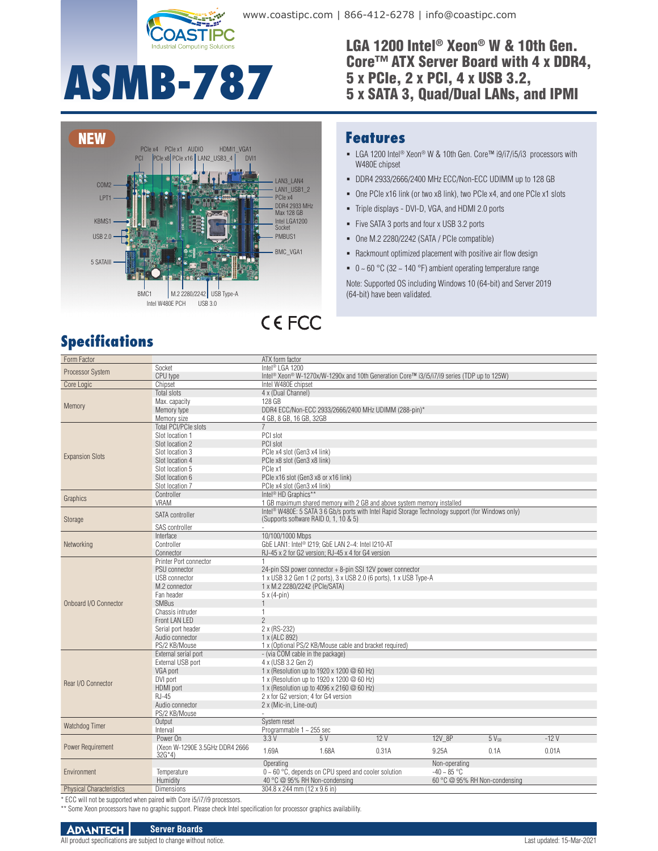

www.coastipc.com | 866-412-6278 | info@coastipc.com

LGA 1200 Intel® Xeon® W & 10th Gen. Core™ ATX Server Board with 4 x DDR4, 5 x PCIe, 2 x PCI, 4 x USB 3.2, 5 x SATA 3, Quad/Dual LANs, and IPMI

# **ASMB-787**



# **Specifications**

#### **Features**

- LGA 1200 Intel<sup>®</sup> Xeon<sup>®</sup> W & 10th Gen. Core™ i9/i7/i5/i3 processors with W480E chipset
- DDR4 2933/2666/2400 MHz ECC/Non-ECC UDIMM up to 128 GB
- One PCIe x16 link (or two x8 link), two PCIe x4, and one PCIe x1 slots
- Triple displays DVI-D, VGA, and HDMI 2.0 ports
- Five SATA 3 ports and four x USB 3.2 ports
- One M.2 2280/2242 (SATA / PCIe compatible)
- Rackmount optimized placement with positive air flow design
- $\bullet$  0 ~ 60 °C (32 ~ 140 °F) ambient operating temperature range

Note: Supported OS including Windows 10 (64-bit) and Server 2019 (64-bit) have been validated.

| Form Factor                         |                                            | ATX form factor                                                                                                    |                                                               |                                                                                                    |                               |           |        |  |
|-------------------------------------|--------------------------------------------|--------------------------------------------------------------------------------------------------------------------|---------------------------------------------------------------|----------------------------------------------------------------------------------------------------|-------------------------------|-----------|--------|--|
| <b>Processor System</b>             | Socket                                     | Intel <sup>®</sup> LGA 1200                                                                                        |                                                               |                                                                                                    |                               |           |        |  |
|                                     | CPU type                                   | Intel <sup>®</sup> Xeon <sup>®</sup> W-1270x/W-1290x and 10th Generation Core™ i3/i5/i7/i9 series (TDP up to 125W) |                                                               |                                                                                                    |                               |           |        |  |
| Core Logic                          | Chipset                                    | Intel W480E chipset                                                                                                |                                                               |                                                                                                    |                               |           |        |  |
|                                     | <b>Total slots</b>                         | 4 x (Dual Channel)                                                                                                 |                                                               |                                                                                                    |                               |           |        |  |
| Memory                              | Max. capacity                              | 128 GB                                                                                                             |                                                               |                                                                                                    |                               |           |        |  |
|                                     | Memory type                                |                                                                                                                    |                                                               | DDR4 ECC/Non-ECC 2933/2666/2400 MHz UDIMM (288-pin)*                                               |                               |           |        |  |
|                                     | Memory size                                | 4 GB, 8 GB, 16 GB, 32GB                                                                                            |                                                               |                                                                                                    |                               |           |        |  |
| <b>Expansion Slots</b>              | <b>Total PCI/PCIe slots</b>                | $\overline{7}$                                                                                                     |                                                               |                                                                                                    |                               |           |        |  |
|                                     | Slot location 1                            | PCI slot                                                                                                           |                                                               |                                                                                                    |                               |           |        |  |
|                                     | Slot location 2                            | PCI slot                                                                                                           |                                                               |                                                                                                    |                               |           |        |  |
|                                     | Slot location 3                            | PCle x4 slot (Gen3 x4 link)                                                                                        |                                                               |                                                                                                    |                               |           |        |  |
|                                     | Slot location 4                            | PCle x8 slot (Gen3 x8 link)                                                                                        |                                                               |                                                                                                    |                               |           |        |  |
|                                     | Slot location 5                            | PCIe x1                                                                                                            |                                                               |                                                                                                    |                               |           |        |  |
|                                     | Slot location 6                            | PCle x16 slot (Gen3 x8 or x16 link)                                                                                |                                                               |                                                                                                    |                               |           |        |  |
|                                     | Slot location 7                            | PCle x4 slot (Gen3 x4 link)                                                                                        |                                                               |                                                                                                    |                               |           |        |  |
| Graphics                            | Controller                                 | Intel <sup>®</sup> HD Graphics <sup>**</sup>                                                                       |                                                               |                                                                                                    |                               |           |        |  |
|                                     | <b>VRAM</b>                                |                                                                                                                    |                                                               | 1 GB maximum shared memory with 2 GB and above system memory installed                             |                               |           |        |  |
| Storage                             | <b>SATA</b> controller                     |                                                                                                                    |                                                               | Intel® W480E: 5 SATA 3 6 Gb/s ports with Intel Rapid Storage Technology support (for Windows only) |                               |           |        |  |
|                                     |                                            | (Supports software RAID 0, 1, 10 & 5)                                                                              |                                                               |                                                                                                    |                               |           |        |  |
|                                     | SAS controller                             |                                                                                                                    |                                                               |                                                                                                    |                               |           |        |  |
| Networking                          | Interface                                  | 10/100/1000 Mbps                                                                                                   |                                                               |                                                                                                    |                               |           |        |  |
|                                     | Controller                                 |                                                                                                                    | GbE LAN1: Intel <sup>®</sup> I219; GbE LAN 2~4: Intel I210-AT |                                                                                                    |                               |           |        |  |
|                                     | Connector                                  |                                                                                                                    | RJ-45 x 2 for G2 version; RJ-45 x 4 for G4 version            |                                                                                                    |                               |           |        |  |
|                                     | Printer Port connector                     |                                                                                                                    |                                                               |                                                                                                    |                               |           |        |  |
|                                     | PSU connector                              |                                                                                                                    | 24-pin SSI power connector + 8-pin SSI 12V power connector    |                                                                                                    |                               |           |        |  |
|                                     | <b>USB</b> connector                       |                                                                                                                    |                                                               | 1 x USB 3.2 Gen 1 (2 ports), 3 x USB 2.0 (6 ports), 1 x USB Type-A                                 |                               |           |        |  |
|                                     | M.2 connector                              | 1 x M.2 2280/2242 (PCle/SATA)                                                                                      |                                                               |                                                                                                    |                               |           |        |  |
|                                     | Fan header                                 | $5 \times (4-pin)$                                                                                                 |                                                               |                                                                                                    |                               |           |        |  |
| Onboard I/O Connector               | <b>SMBus</b>                               | $\mathbf{1}$                                                                                                       |                                                               |                                                                                                    |                               |           |        |  |
|                                     | Chassis intruder                           | 1                                                                                                                  |                                                               |                                                                                                    |                               |           |        |  |
|                                     | Front LAN LED                              | $\overline{2}$                                                                                                     |                                                               |                                                                                                    |                               |           |        |  |
|                                     | Serial port header                         | 2 x (RS-232)                                                                                                       |                                                               |                                                                                                    |                               |           |        |  |
|                                     | Audio connector                            | 1 x (ALC 892)                                                                                                      |                                                               |                                                                                                    |                               |           |        |  |
|                                     | PS/2 KB/Mouse                              |                                                                                                                    | 1 x (Optional PS/2 KB/Mouse cable and bracket required)       |                                                                                                    |                               |           |        |  |
|                                     | External serial port                       | - (via COM cable in the package)                                                                                   |                                                               |                                                                                                    |                               |           |        |  |
|                                     | External USB port                          | 4 x (USB 3.2 Gen 2)                                                                                                |                                                               |                                                                                                    |                               |           |        |  |
|                                     | VGA port                                   |                                                                                                                    | 1 x (Resolution up to 1920 x 1200 @ 60 Hz)                    |                                                                                                    |                               |           |        |  |
| Rear I/O Connector                  | DVI port                                   |                                                                                                                    | 1 x (Resolution up to 1920 x 1200 @ 60 Hz)                    |                                                                                                    |                               |           |        |  |
|                                     | <b>HDMI</b> port                           | 1 x (Resolution up to 4096 x 2160 @ 60 Hz)                                                                         |                                                               |                                                                                                    |                               |           |        |  |
|                                     | <b>RJ-45</b>                               | 2 x for G2 version: 4 for G4 version                                                                               |                                                               |                                                                                                    |                               |           |        |  |
|                                     | Audio connector                            | 2 x (Mic-in, Line-out)                                                                                             |                                                               |                                                                                                    |                               |           |        |  |
|                                     | PS/2 KB/Mouse                              |                                                                                                                    |                                                               |                                                                                                    |                               |           |        |  |
| Watchdog Timer<br>Power Requirement | Output                                     | System reset                                                                                                       |                                                               |                                                                                                    |                               |           |        |  |
|                                     | Interval                                   | Programmable 1 ~ 255 sec<br>3.3V                                                                                   | 5V                                                            | 12V                                                                                                | 12V 8P                        | $5V_{SB}$ | $-12V$ |  |
|                                     | Power On<br>(Xeon W-1290E 3.5GHz DDR4 2666 |                                                                                                                    |                                                               |                                                                                                    |                               |           |        |  |
|                                     | $32G*4$                                    | 1.69A                                                                                                              | 1.68A                                                         | 0.31A                                                                                              | 9.25A                         | 0.1A      | 0.01A  |  |
|                                     |                                            | Operating                                                                                                          |                                                               |                                                                                                    | Non-operating                 |           |        |  |
| Environment                         | Temperature                                | $0 \sim 60$ °C, depends on CPU speed and cooler solution                                                           |                                                               |                                                                                                    | $-40 - 85 °C$                 |           |        |  |
|                                     | Humidity                                   | 40 °C @ 95% RH Non-condensing                                                                                      |                                                               |                                                                                                    | 60 °C @ 95% RH Non-condensing |           |        |  |
| <b>Physical Characteristics</b>     | <b>Dimensions</b>                          | 304.8 x 244 mm (12 x 9.6 in)                                                                                       |                                                               |                                                                                                    |                               |           |        |  |
|                                     |                                            |                                                                                                                    |                                                               |                                                                                                    |                               |           |        |  |

\* ECC will not be supported when paired with Core i5/i7/i9 processors.

\*\* Some Xeon processors have no graphic support. Please check Intel specification for processor graphics availability.

#### **ADVANTECH Server Boards**

All product specifications are subject to change without notice. Last updated: 15-Mar-2021